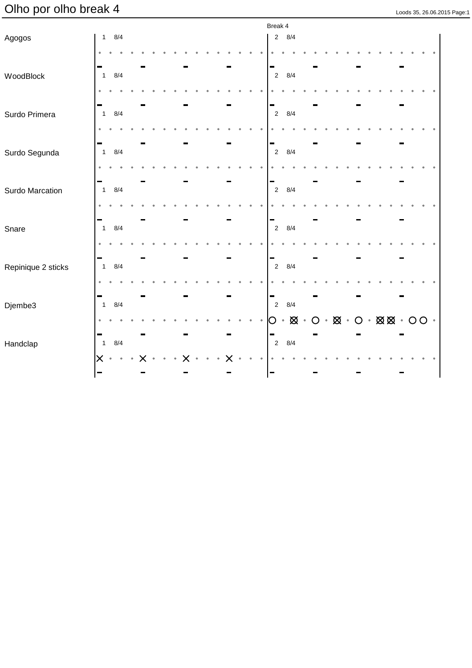# Olho por olho break 4

| Loods 35, 26, 06, 2015 Page: |  |  |  |
|------------------------------|--|--|--|

|                    |                                  |            |  |  |  |  |  | Break 4             |                             |                                                                      |  |  |  |  |  |  |
|--------------------|----------------------------------|------------|--|--|--|--|--|---------------------|-----------------------------|----------------------------------------------------------------------|--|--|--|--|--|--|
| Agogos             |                                  | $1 \t 8/4$ |  |  |  |  |  |                     | $2 \quad 8/4$               |                                                                      |  |  |  |  |  |  |
|                    |                                  |            |  |  |  |  |  |                     |                             |                                                                      |  |  |  |  |  |  |
| WoodBlock          | $\overline{1}$                   | 8/4        |  |  |  |  |  | $\overline{c}$      | 8/4                         |                                                                      |  |  |  |  |  |  |
|                    |                                  |            |  |  |  |  |  |                     |                             |                                                                      |  |  |  |  |  |  |
| Surdo Primera      | $\mathbf{1}$                     | 8/4        |  |  |  |  |  | $\sqrt{2}$          | 8/4                         |                                                                      |  |  |  |  |  |  |
|                    |                                  |            |  |  |  |  |  |                     |                             |                                                                      |  |  |  |  |  |  |
| Surdo Segunda      | $\mathbf{1}$                     | 8/4        |  |  |  |  |  | $\sqrt{2}$          | 8/4                         |                                                                      |  |  |  |  |  |  |
|                    |                                  |            |  |  |  |  |  |                     |                             |                                                                      |  |  |  |  |  |  |
| Surdo Marcation    | $\overline{1}$                   | 8/4        |  |  |  |  |  | $\overline{2}$      | 8/4                         |                                                                      |  |  |  |  |  |  |
|                    |                                  |            |  |  |  |  |  |                     |                             |                                                                      |  |  |  |  |  |  |
| Snare              | ٠<br>$\overline{1}$              | 8/4        |  |  |  |  |  | ۰<br>$\overline{2}$ | 8/4                         |                                                                      |  |  |  |  |  |  |
|                    |                                  |            |  |  |  |  |  |                     |                             |                                                                      |  |  |  |  |  |  |
| Repinique 2 sticks | ٠<br>$\mathbf{1}$                | 8/4        |  |  |  |  |  | ۰<br>$\overline{2}$ | 8/4                         |                                                                      |  |  |  |  |  |  |
|                    |                                  |            |  |  |  |  |  |                     |                             |                                                                      |  |  |  |  |  |  |
| Djembe3            | $\blacksquare$<br>$\overline{1}$ | 8/4        |  |  |  |  |  | ▄<br>$\overline{2}$ | 8/4                         |                                                                      |  |  |  |  |  |  |
|                    |                                  |            |  |  |  |  |  | O                   | $\cdot$ $\boxtimes$ $\cdot$ | $O \cdot \boxtimes \cdot O \cdot \boxtimes \boxtimes \cdot OO \cdot$ |  |  |  |  |  |  |
| Handclap           | $\blacksquare$<br>$\mathbf{1}$   | 8/4        |  |  |  |  |  | $\overline{2}$      | 8/4                         |                                                                      |  |  |  |  |  |  |
|                    | $\times$                         | $\bullet$  |  |  |  |  |  |                     |                             |                                                                      |  |  |  |  |  |  |
|                    | $\blacksquare$                   |            |  |  |  |  |  |                     |                             |                                                                      |  |  |  |  |  |  |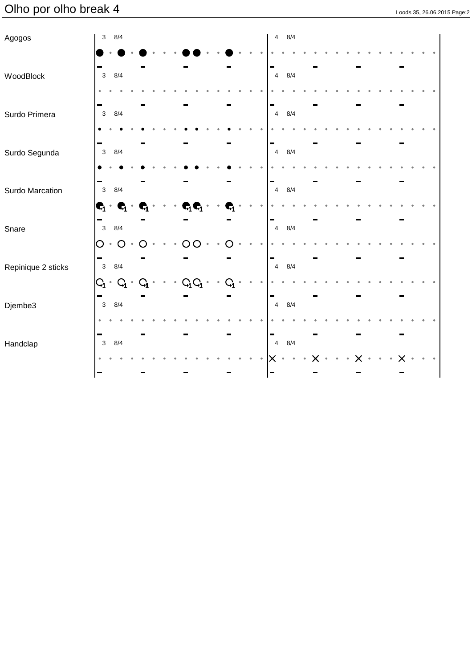# Olho por olho break 4

| Loods 35, 26.06.2015 Page:2 |  |  |
|-----------------------------|--|--|

| Agogos             | $3 \quad 8/4$                                             |                                                           |                                           |                         | 4 8/4                                       |  |
|--------------------|-----------------------------------------------------------|-----------------------------------------------------------|-------------------------------------------|-------------------------|---------------------------------------------|--|
|                    |                                                           |                                                           |                                           |                         |                                             |  |
| WoodBlock          | 8/4<br>$\mathbf{3}$                                       |                                                           |                                           |                         | 8/4<br>$\overline{4}$                       |  |
|                    |                                                           |                                                           |                                           |                         |                                             |  |
| Surdo Primera      | $3 \quad 8/4$                                             |                                                           |                                           |                         | $\overline{4}$<br>8/4                       |  |
|                    |                                                           |                                                           |                                           |                         |                                             |  |
| Surdo Segunda      | ÷<br>8/4<br>$\mathbf{3}$                                  |                                                           |                                           |                         | 8/4<br>$\overline{4}$                       |  |
|                    | -                                                         |                                                           |                                           |                         | ▬                                           |  |
| Surdo Marcation    | 8/4<br>$\mathbf{3}$                                       |                                                           |                                           |                         | 8/4<br>$\overline{4}$                       |  |
|                    | $\mathbf{C}_1 \cdot \mathbf{C}_1 \cdot$                   | $\bullet$<br>$\bullet$ .<br>$\bullet$ .<br>$\mathbf{C}_1$ | $\mathbf{C}_1\mathbf{C}_1$ .<br>$\bullet$ | C,                      |                                             |  |
| Snare              | $\blacksquare$<br>$3 \quad 8/4$                           |                                                           |                                           |                         | $\blacksquare$<br>$8/4\,$<br>$\overline{4}$ |  |
|                    | $\cdot$ O<br>O                                            |                                                           | ∩                                         |                         |                                             |  |
| Repinique 2 sticks | $3 \quad 8/4$                                             |                                                           |                                           |                         | 8/4<br>$\overline{4}$                       |  |
|                    | $\mathrm{G}_1 \cdot \mathrm{G}_1 \cdot$<br>$\blacksquare$ | $\mathsf{G}_1$<br>$\bullet$                               | $C_1C_1$                                  | $\mathrm{G}_\mathrm{i}$ |                                             |  |
| Djembe3            | $3 \quad 8/4$                                             |                                                           |                                           |                         | 8/4<br>$\overline{4}$                       |  |
|                    |                                                           |                                                           |                                           |                         |                                             |  |
| Handclap           | ٠<br>8/4<br>$\mathbf{3}$                                  |                                                           |                                           |                         | ▀<br>8/4<br>$\overline{4}$                  |  |
|                    |                                                           |                                                           |                                           |                         |                                             |  |
|                    | $\blacksquare$                                            |                                                           |                                           |                         |                                             |  |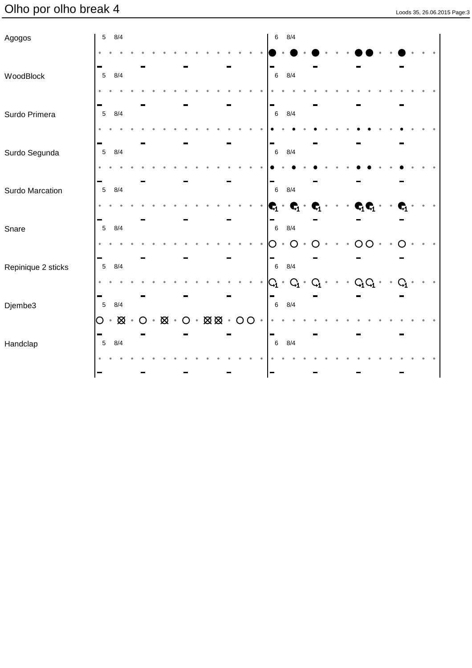# Olho por olho break 4

| Loods 35, 26.06.2015 Page:3 |  |  |
|-----------------------------|--|--|

| Agogos             | 5                    | 8/4                                |         |           |             |                                       |  |  |         | $\,6\,$              | 8/4                   |    |                        |  |                                       |   |                  |  |  |
|--------------------|----------------------|------------------------------------|---------|-----------|-------------|---------------------------------------|--|--|---------|----------------------|-----------------------|----|------------------------|--|---------------------------------------|---|------------------|--|--|
|                    |                      |                                    |         |           |             |                                       |  |  |         |                      |                       |    |                        |  |                                       |   |                  |  |  |
| WoodBlock          | $\sqrt{5}$           | 8/4                                |         |           |             |                                       |  |  |         | $\,6\,$              | 8/4                   |    |                        |  |                                       |   |                  |  |  |
|                    |                      |                                    |         |           |             |                                       |  |  |         |                      |                       |    |                        |  |                                       |   |                  |  |  |
| Surdo Primera      | ÷<br>$5\phantom{.0}$ | 8/4                                |         |           |             |                                       |  |  |         | ▀<br>$\,6\,$         | 8/4                   |    |                        |  |                                       |   |                  |  |  |
|                    |                      |                                    |         |           |             |                                       |  |  |         |                      |                       |    |                        |  |                                       |   |                  |  |  |
| Surdo Segunda      | ÷<br>$5\phantom{.0}$ | 8/4                                |         |           |             |                                       |  |  |         | -<br>$6\phantom{1}6$ | 8/4                   |    |                        |  |                                       |   |                  |  |  |
|                    |                      |                                    |         |           |             |                                       |  |  |         |                      |                       |    |                        |  |                                       |   |                  |  |  |
| Surdo Marcation    | 5                    | 8/4                                |         |           |             |                                       |  |  |         | $\,6\,$              | 8/4                   |    |                        |  |                                       |   |                  |  |  |
|                    |                      |                                    |         |           |             |                                       |  |  |         | $\mathbf{C}_1$ .     | $\mathbf{C}_1$        | C, | $\bullet$<br>$\bullet$ |  | $\mathbf{C}_1\mathbf{C}_1$ .          |   | C,               |  |  |
| Snare              | 5                    | 8/4                                |         |           |             |                                       |  |  |         | $\,6\,$              | 8/4                   |    |                        |  |                                       |   |                  |  |  |
|                    |                      |                                    |         |           |             |                                       |  |  |         | ۰                    |                       |    |                        |  |                                       |   |                  |  |  |
|                    | 5                    | 8/4                                |         |           |             |                                       |  |  |         | $\,6\,$              | 8/4                   |    |                        |  |                                       |   |                  |  |  |
| Repinique 2 sticks |                      |                                    |         |           |             |                                       |  |  |         |                      | $G_1 \cdot G_1 \cdot$ |    |                        |  | $Q_1 \cdot \cdot \cdot Q_1 Q_1 \cdot$ | ۰ | $\mathrm{G}_{1}$ |  |  |
|                    |                      |                                    |         |           |             |                                       |  |  |         |                      |                       |    |                        |  |                                       |   |                  |  |  |
| Djembe3            | $5\phantom{.0}$<br>O | 8/4<br>$\cdot$ $\boxtimes$ $\cdot$ | $\circ$ | $\bullet$ | $\otimes$ . | $O \cdot \boxtimes \boxtimes \cdot O$ |  |  | $\circ$ | $\,6$                | 8/4                   |    |                        |  |                                       |   |                  |  |  |
|                    | <b>COL</b>           |                                    |         |           |             |                                       |  |  |         | m.                   |                       |    |                        |  |                                       |   |                  |  |  |
| Handclap           | $\sqrt{5}$           | 8/4                                |         |           |             |                                       |  |  |         | $\,6\,$              | 8/4                   |    |                        |  |                                       |   |                  |  |  |
|                    |                      |                                    |         |           |             |                                       |  |  |         |                      |                       |    |                        |  |                                       |   |                  |  |  |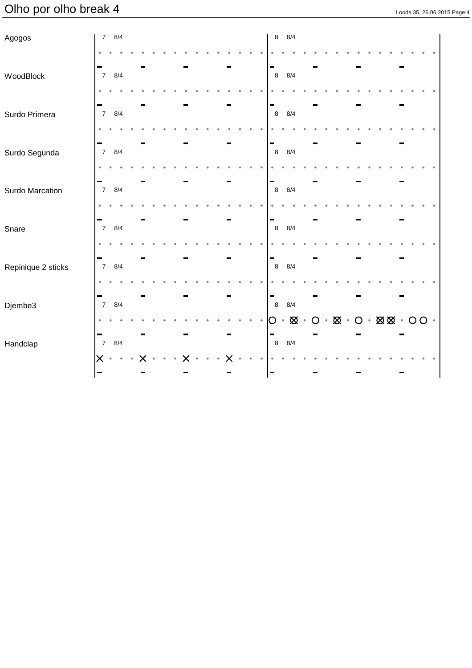# Olho por olho break 4 Loods 35, 26.06.2015 Page:4

| Loods 35, 26.06.2015 Page:4 |  |
|-----------------------------|--|

| Agogos             |                              | $7 \t 8/4$                    |  |  |  |  |  |  | $\bf 8$          | 8/4       |               |  |                                                 |  |  |           |                 |  |
|--------------------|------------------------------|-------------------------------|--|--|--|--|--|--|------------------|-----------|---------------|--|-------------------------------------------------|--|--|-----------|-----------------|--|
|                    | $\bullet$                    |                               |  |  |  |  |  |  |                  |           |               |  |                                                 |  |  |           |                 |  |
| WoodBlock          | ь<br>$\overline{7}$          | 8/4                           |  |  |  |  |  |  | $\boldsymbol{8}$ | 8/4       |               |  |                                                 |  |  |           |                 |  |
|                    | $\bullet$                    |                               |  |  |  |  |  |  |                  |           |               |  |                                                 |  |  |           |                 |  |
| Surdo Primera      | -<br>$\overline{7}$          | 8/4                           |  |  |  |  |  |  | ▀<br>$\,8\,$     | 8/4       |               |  |                                                 |  |  |           |                 |  |
|                    |                              |                               |  |  |  |  |  |  |                  |           |               |  |                                                 |  |  |           |                 |  |
| Surdo Segunda      | -<br>$\overline{7}$          | 8/4                           |  |  |  |  |  |  | -<br>$\,$ 8      | 8/4       |               |  |                                                 |  |  |           |                 |  |
|                    |                              |                               |  |  |  |  |  |  |                  |           |               |  |                                                 |  |  |           |                 |  |
| Surdo Marcation    | н.<br>$\overline{7}$         | 8/4                           |  |  |  |  |  |  | -<br>$\,$ 8 $\,$ | 8/4       |               |  |                                                 |  |  |           |                 |  |
|                    |                              |                               |  |  |  |  |  |  |                  |           |               |  |                                                 |  |  |           |                 |  |
| Snare              | $\overline{7}$               | 8/4                           |  |  |  |  |  |  | ÷<br>$\,$ 8 $\,$ | 8/4       |               |  |                                                 |  |  |           |                 |  |
|                    |                              |                               |  |  |  |  |  |  |                  |           |               |  |                                                 |  |  |           |                 |  |
| Repinique 2 sticks | $\overline{7}$               | 8/4                           |  |  |  |  |  |  | $\,8\,$          | 8/4       |               |  |                                                 |  |  |           |                 |  |
|                    |                              |                               |  |  |  |  |  |  |                  |           |               |  |                                                 |  |  |           |                 |  |
|                    | -<br>$\overline{7}$          | 8/4                           |  |  |  |  |  |  | -<br>$\,8\,$     | 8/4       |               |  |                                                 |  |  |           |                 |  |
| Djembe3            |                              |                               |  |  |  |  |  |  | O                | $\bullet$ | $\boxtimes$ . |  | $O\cdot\boxtimes\cdot O\cdot\boxtimes\boxtimes$ |  |  | $\cdot$ O | $\circ$ $\circ$ |  |
|                    | -                            |                               |  |  |  |  |  |  | ▬                |           |               |  |                                                 |  |  |           |                 |  |
| Handclap           | $\overline{7}$<br>$\times$   | 8/4<br>$\bullet$<br>$\bullet$ |  |  |  |  |  |  | $\,8\,$          | 8/4       |               |  |                                                 |  |  |           |                 |  |
|                    | $\qquad \qquad \blacksquare$ |                               |  |  |  |  |  |  |                  |           |               |  |                                                 |  |  |           |                 |  |